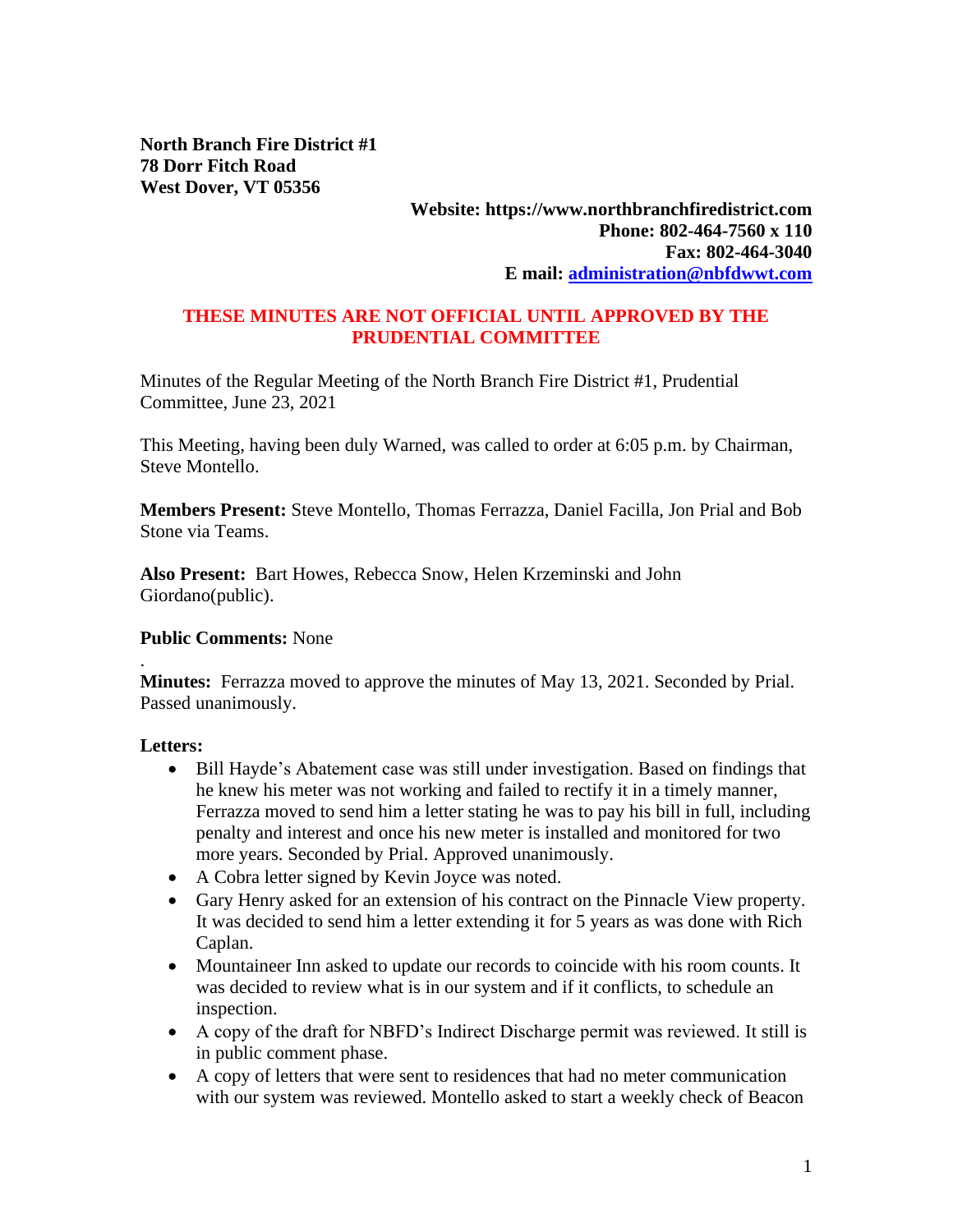**North Branch Fire District #1 78 Dorr Fitch Road West Dover, VT 05356**

## **Website: https://www.northbranchfiredistrict.com Phone: 802-464-7560 x 110 Fax: 802-464-3040 E mail: [administration@nbfdwwt.com](mailto:administration@nbfdwwt.com)**

## **THESE MINUTES ARE NOT OFFICIAL UNTIL APPROVED BY THE PRUDENTIAL COMMITTEE**

Minutes of the Regular Meeting of the North Branch Fire District #1, Prudential Committee, June 23, 2021

This Meeting, having been duly Warned, was called to order at 6:05 p.m. by Chairman, Steve Montello.

**Members Present:** Steve Montello, Thomas Ferrazza, Daniel Facilla, Jon Prial and Bob Stone via Teams.

**Also Present:** Bart Howes, Rebecca Snow, Helen Krzeminski and John Giordano(public).

### **Public Comments:** None

. **Minutes:** Ferrazza moved to approve the minutes of May 13, 2021. Seconded by Prial. Passed unanimously.

### **Letters:**

- Bill Hayde's Abatement case was still under investigation. Based on findings that he knew his meter was not working and failed to rectify it in a timely manner, Ferrazza moved to send him a letter stating he was to pay his bill in full, including penalty and interest and once his new meter is installed and monitored for two more years. Seconded by Prial. Approved unanimously.
- A Cobra letter signed by Kevin Joyce was noted.
- Gary Henry asked for an extension of his contract on the Pinnacle View property. It was decided to send him a letter extending it for 5 years as was done with Rich Caplan.
- Mountaineer Inn asked to update our records to coincide with his room counts. It was decided to review what is in our system and if it conflicts, to schedule an inspection.
- A copy of the draft for NBFD's Indirect Discharge permit was reviewed. It still is in public comment phase.
- A copy of letters that were sent to residences that had no meter communication with our system was reviewed. Montello asked to start a weekly check of Beacon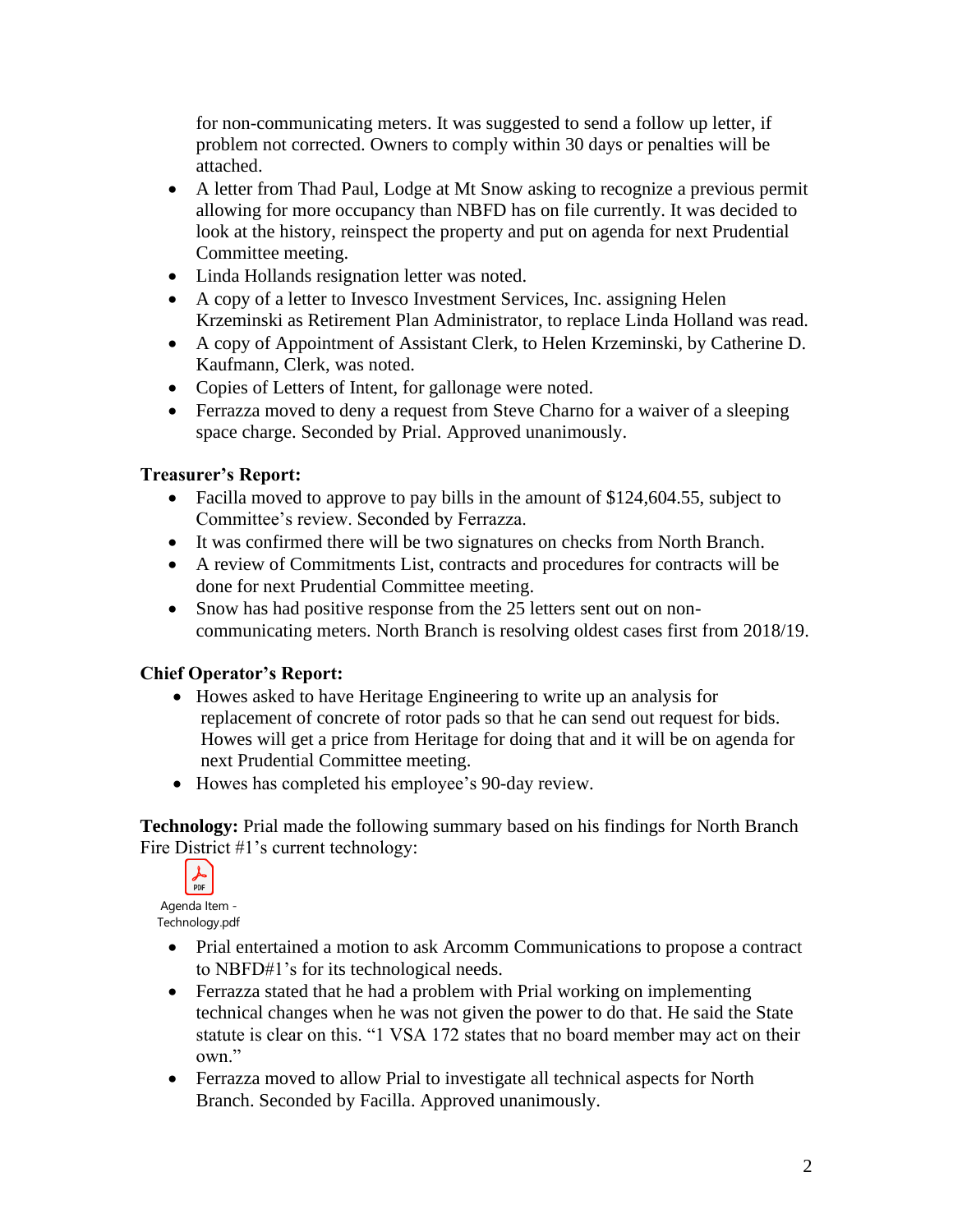for non-communicating meters. It was suggested to send a follow up letter, if problem not corrected. Owners to comply within 30 days or penalties will be attached.

- A letter from Thad Paul, Lodge at Mt Snow asking to recognize a previous permit allowing for more occupancy than NBFD has on file currently. It was decided to look at the history, reinspect the property and put on agenda for next Prudential Committee meeting.
- Linda Hollands resignation letter was noted.
- A copy of a letter to Invesco Investment Services, Inc. assigning Helen Krzeminski as Retirement Plan Administrator, to replace Linda Holland was read.
- A copy of Appointment of Assistant Clerk, to Helen Krzeminski, by Catherine D. Kaufmann, Clerk, was noted.
- Copies of Letters of Intent, for gallonage were noted.
- Ferrazza moved to deny a request from Steve Charno for a waiver of a sleeping space charge. Seconded by Prial. Approved unanimously.

## **Treasurer's Report:**

- Facilla moved to approve to pay bills in the amount of \$124,604.55, subject to Committee's review. Seconded by Ferrazza.
- It was confirmed there will be two signatures on checks from North Branch.
- A review of Commitments List, contracts and procedures for contracts will be done for next Prudential Committee meeting.
- Snow has had positive response from the 25 letters sent out on noncommunicating meters. North Branch is resolving oldest cases first from 2018/19.

# **Chief Operator's Report:**

- Howes asked to have Heritage Engineering to write up an analysis for replacement of concrete of rotor pads so that he can send out request for bids. Howes will get a price from Heritage for doing that and it will be on agenda for next Prudential Committee meeting.
- Howes has completed his employee's 90-day review.

**Technology:** Prial made the following summary based on his findings for North Branch Fire District #1's current technology:



Technology.pdf

- Prial entertained a motion to ask Arcomm Communications to propose a contract to NBFD#1's for its technological needs.
- Ferrazza stated that he had a problem with Prial working on implementing technical changes when he was not given the power to do that. He said the State statute is clear on this. "1 VSA 172 states that no board member may act on their own."
- Ferrazza moved to allow Prial to investigate all technical aspects for North Branch. Seconded by Facilla. Approved unanimously.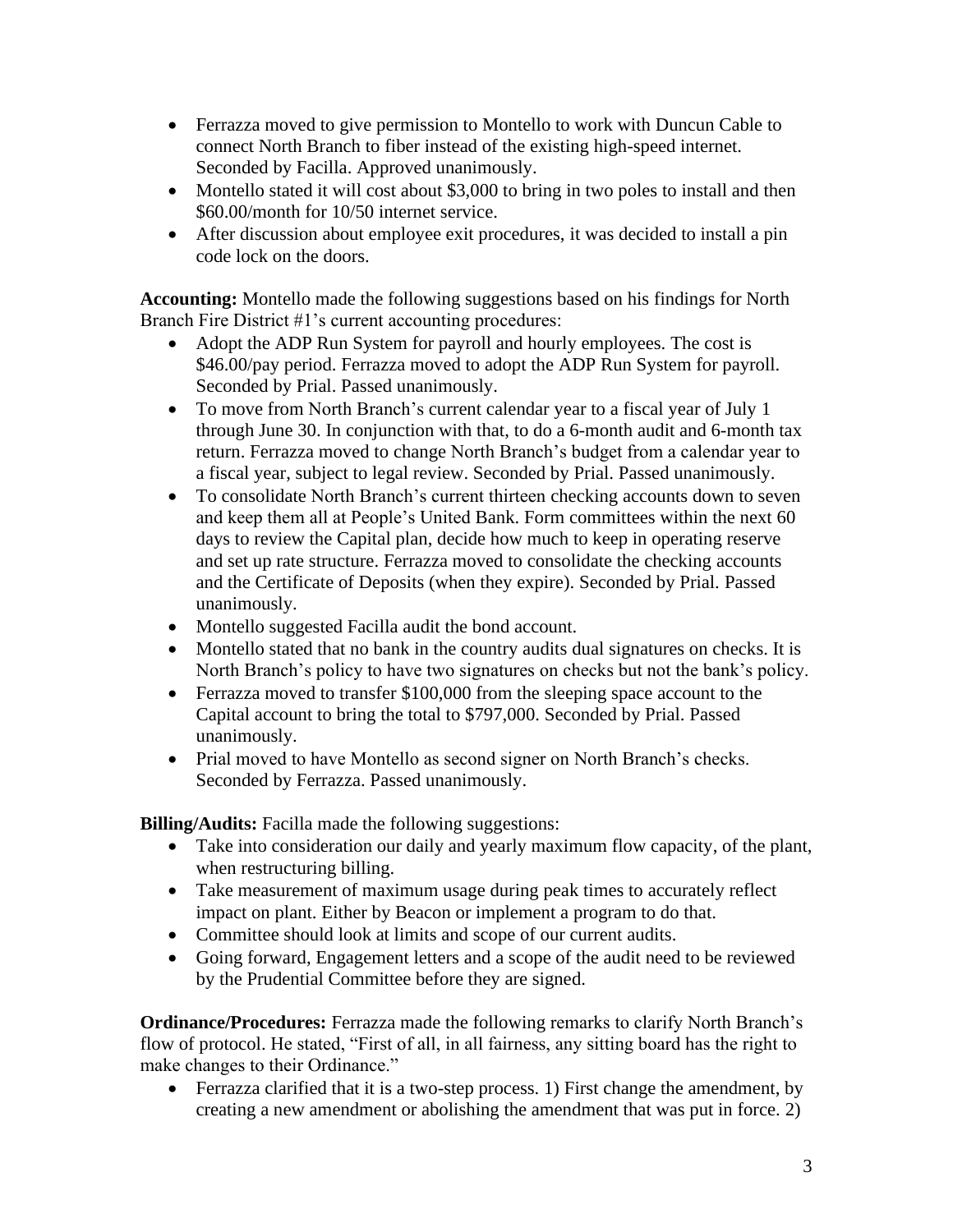- Ferrazza moved to give permission to Montello to work with Duncun Cable to connect North Branch to fiber instead of the existing high-speed internet. Seconded by Facilla. Approved unanimously.
- Montello stated it will cost about \$3,000 to bring in two poles to install and then \$60.00/month for 10/50 internet service.
- After discussion about employee exit procedures, it was decided to install a pin code lock on the doors.

**Accounting:** Montello made the following suggestions based on his findings for North Branch Fire District #1's current accounting procedures:

- Adopt the ADP Run System for payroll and hourly employees. The cost is \$46.00/pay period. Ferrazza moved to adopt the ADP Run System for payroll. Seconded by Prial. Passed unanimously.
- To move from North Branch's current calendar year to a fiscal year of July 1 through June 30. In conjunction with that, to do a 6-month audit and 6-month tax return. Ferrazza moved to change North Branch's budget from a calendar year to a fiscal year, subject to legal review. Seconded by Prial. Passed unanimously.
- To consolidate North Branch's current thirteen checking accounts down to seven and keep them all at People's United Bank. Form committees within the next 60 days to review the Capital plan, decide how much to keep in operating reserve and set up rate structure. Ferrazza moved to consolidate the checking accounts and the Certificate of Deposits (when they expire). Seconded by Prial. Passed unanimously.
- Montello suggested Facilla audit the bond account.
- Montello stated that no bank in the country audits dual signatures on checks. It is North Branch's policy to have two signatures on checks but not the bank's policy.
- Ferrazza moved to transfer \$100,000 from the sleeping space account to the Capital account to bring the total to \$797,000. Seconded by Prial. Passed unanimously.
- Prial moved to have Montello as second signer on North Branch's checks. Seconded by Ferrazza. Passed unanimously.

**Billing/Audits:** Facilla made the following suggestions:

- Take into consideration our daily and yearly maximum flow capacity, of the plant, when restructuring billing.
- Take measurement of maximum usage during peak times to accurately reflect impact on plant. Either by Beacon or implement a program to do that.
- Committee should look at limits and scope of our current audits.
- Going forward, Engagement letters and a scope of the audit need to be reviewed by the Prudential Committee before they are signed.

**Ordinance/Procedures:** Ferrazza made the following remarks to clarify North Branch's flow of protocol. He stated, "First of all, in all fairness, any sitting board has the right to make changes to their Ordinance."

• Ferrazza clarified that it is a two-step process. 1) First change the amendment, by creating a new amendment or abolishing the amendment that was put in force. 2)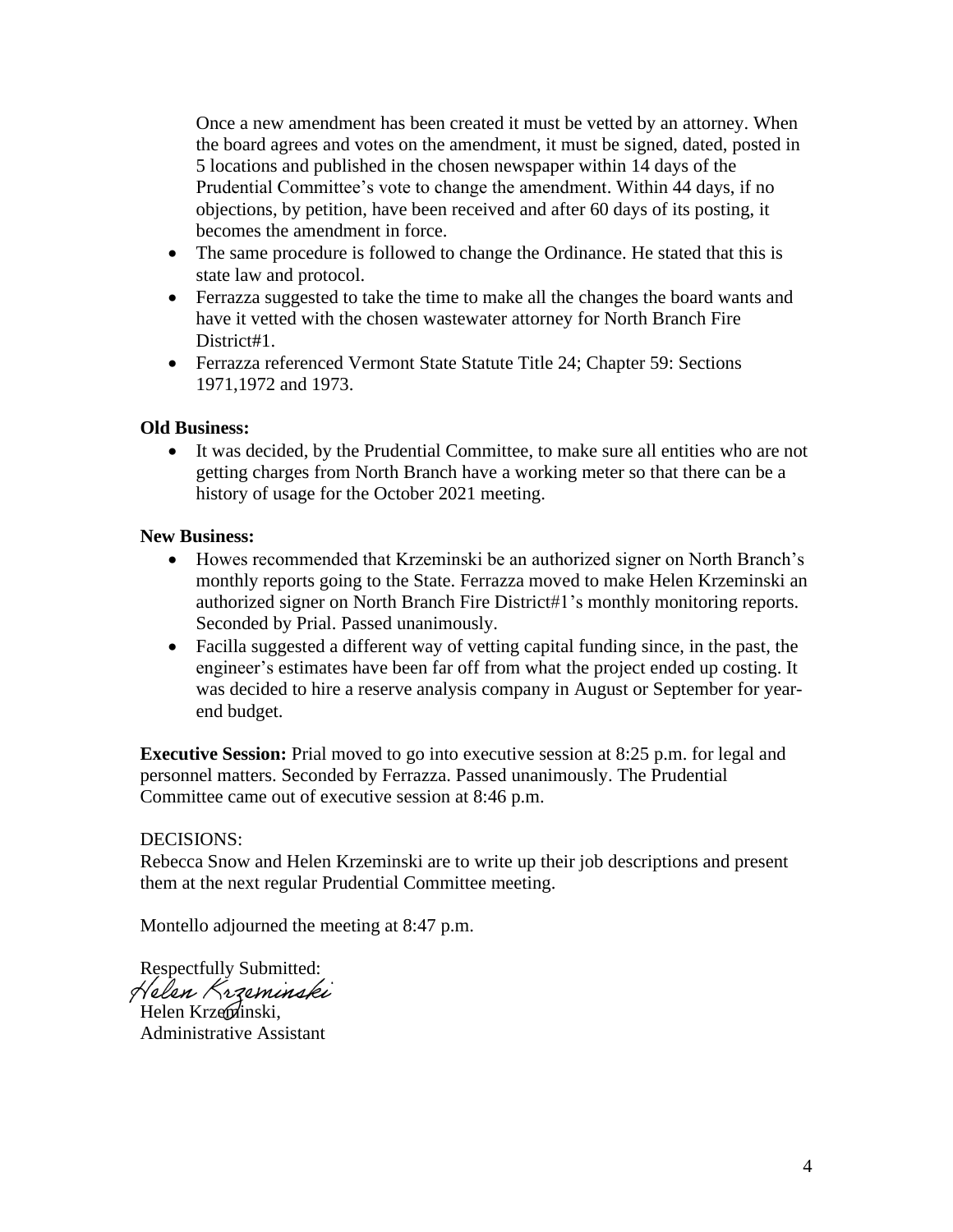Once a new amendment has been created it must be vetted by an attorney. When the board agrees and votes on the amendment, it must be signed, dated, posted in 5 locations and published in the chosen newspaper within 14 days of the Prudential Committee's vote to change the amendment. Within 44 days, if no objections, by petition, have been received and after 60 days of its posting, it becomes the amendment in force.

- The same procedure is followed to change the Ordinance. He stated that this is state law and protocol.
- Ferrazza suggested to take the time to make all the changes the board wants and have it vetted with the chosen wastewater attorney for North Branch Fire District#1.
- Ferrazza referenced Vermont State Statute Title 24; Chapter 59: Sections 1971,1972 and 1973.

## **Old Business:**

• It was decided, by the Prudential Committee, to make sure all entities who are not getting charges from North Branch have a working meter so that there can be a history of usage for the October 2021 meeting.

### **New Business:**

- Howes recommended that Krzeminski be an authorized signer on North Branch's monthly reports going to the State. Ferrazza moved to make Helen Krzeminski an authorized signer on North Branch Fire District#1's monthly monitoring reports. Seconded by Prial. Passed unanimously.
- Facilla suggested a different way of vetting capital funding since, in the past, the engineer's estimates have been far off from what the project ended up costing. It was decided to hire a reserve analysis company in August or September for yearend budget.

**Executive Session:** Prial moved to go into executive session at 8:25 p.m. for legal and personnel matters. Seconded by Ferrazza. Passed unanimously. The Prudential Committee came out of executive session at 8:46 p.m.

### DECISIONS:

Rebecca Snow and Helen Krzeminski are to write up their job descriptions and present them at the next regular Prudential Committee meeting.

Montello adjourned the meeting at 8:47 p.m.

Respectfully Submitted:<br>Helen Krzeminski Helen Krzeminski,